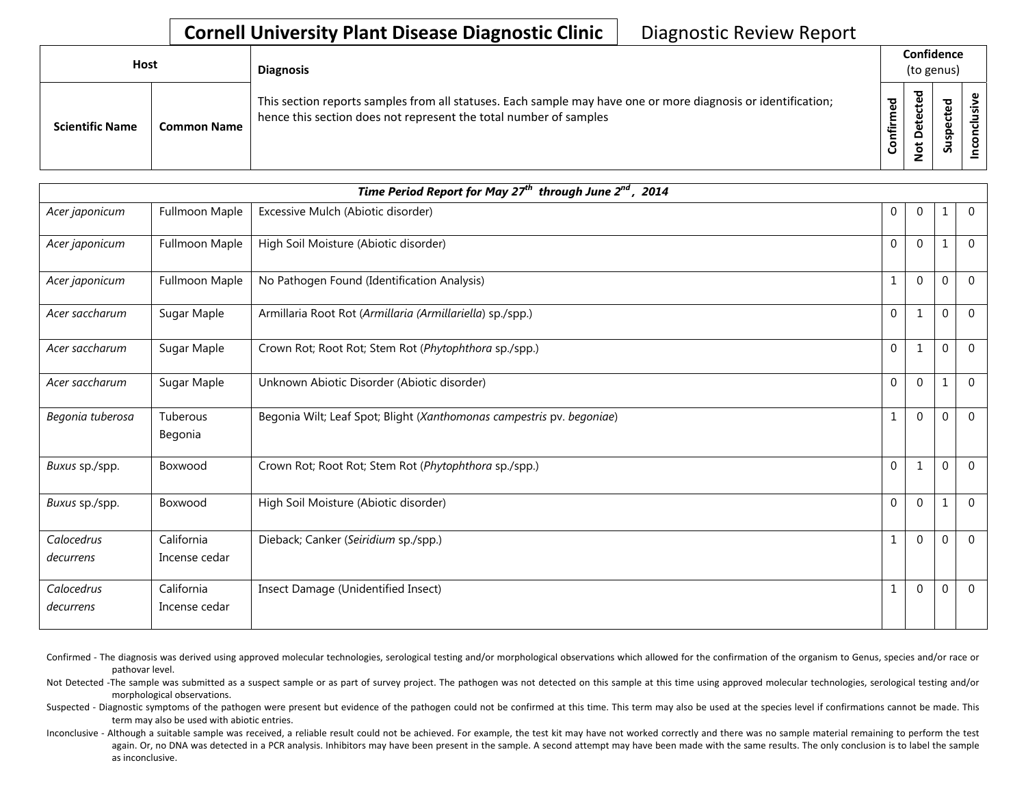## **Cornell University Plant Disease Diagnostic Clinic** | Diagnostic Review Report

| <b>Host</b>            |                    | <b>Diagnosis</b>                                                                                                                                                                   |                           |   | Confidence<br>(to genus) |  |
|------------------------|--------------------|------------------------------------------------------------------------------------------------------------------------------------------------------------------------------------|---------------------------|---|--------------------------|--|
| <b>Scientific Name</b> | <b>Common Name</b> | This section reports samples from all statuses. Each sample may have one or more diagnosis or identification;<br>hence this section does not represent the total number of samples | ठ<br>Φ<br>Ē<br>nfiri<br>S | ு | င္တ<br>ے<br>S            |  |

|                         |                             | Time Period Report for May 27 <sup>th</sup> through June $2^{nd}$ , 2014 |                |                |                  |                |
|-------------------------|-----------------------------|--------------------------------------------------------------------------|----------------|----------------|------------------|----------------|
| Acer japonicum          | Fullmoon Maple              | Excessive Mulch (Abiotic disorder)                                       | $\overline{0}$ | $\mathbf 0$    | 1                | $\overline{0}$ |
| Acer japonicum          | Fullmoon Maple              | High Soil Moisture (Abiotic disorder)                                    | $\Omega$       | $\mathbf 0$    | 1                | $\Omega$       |
| Acer japonicum          | Fullmoon Maple              | No Pathogen Found (Identification Analysis)                              | $\mathbf{1}$   | $\mathbf 0$    | $\mathbf{0}$     | $\Omega$       |
| Acer saccharum          | Sugar Maple                 | Armillaria Root Rot (Armillaria (Armillariella) sp./spp.)                | $\mathbf{0}$   | $\mathbf{1}$   | $\mathbf 0$      | $\mathbf 0$    |
| Acer saccharum          | Sugar Maple                 | Crown Rot; Root Rot; Stem Rot (Phytophthora sp./spp.)                    | $\mathbf 0$    | $\mathbf{1}$   | 0                | $\Omega$       |
| Acer saccharum          | Sugar Maple                 | Unknown Abiotic Disorder (Abiotic disorder)                              | $\mathbf 0$    | $\Omega$       | 1                | $\Omega$       |
| Begonia tuberosa        | Tuberous<br>Begonia         | Begonia Wilt; Leaf Spot; Blight (Xanthomonas campestris pv. begoniae)    | $\mathbf{1}$   | $\mathbf 0$    | $\mathbf{0}$     | $\Omega$       |
| Buxus sp./spp.          | Boxwood                     | Crown Rot; Root Rot; Stem Rot (Phytophthora sp./spp.)                    | $\overline{0}$ | $\mathbf 1$    | $\mathbf{0}$     | $\overline{0}$ |
| Buxus sp./spp.          | Boxwood                     | High Soil Moisture (Abiotic disorder)                                    | $\mathbf 0$    | $\overline{0}$ | 1                | $\mathbf 0$    |
| Calocedrus              | California                  | Dieback; Canker (Seiridium sp./spp.)                                     | $\mathbf{1}$   | $\Omega$       | $\mathbf{0}$     | $\Omega$       |
| decurrens               | Incense cedar               |                                                                          |                |                |                  |                |
| Calocedrus<br>decurrens | California<br>Incense cedar | Insect Damage (Unidentified Insect)                                      | 1              | $\mathbf 0$    | $\boldsymbol{0}$ | $\Omega$       |

- Confirmed The diagnosis was derived using approved molecular technologies, serological testing and/or morphological observations which allowed for the confirmation of the organism to Genus, species and/or race or pathovar level.
- Not Detected -The sample was submitted as a suspect sample or as part of survey project. The pathogen was not detected on this sample at this time using approved molecular technologies, serological testing and/or morphological observations.
- Suspected Diagnostic symptoms of the pathogen were present but evidence of the pathogen could not be confirmed at this time. This term may also be used at the species level if confirmations cannot be made. This term may also be used with abiotic entries.
- Inconclusive Although a suitable sample was received, a reliable result could not be achieved. For example, the test kit may have not worked correctly and there was no sample material remaining to perform the test again. Or, no DNA was detected in a PCR analysis. Inhibitors may have been present in the sample. A second attempt may have been made with the same results. The only conclusion is to label the sample as inconclusive.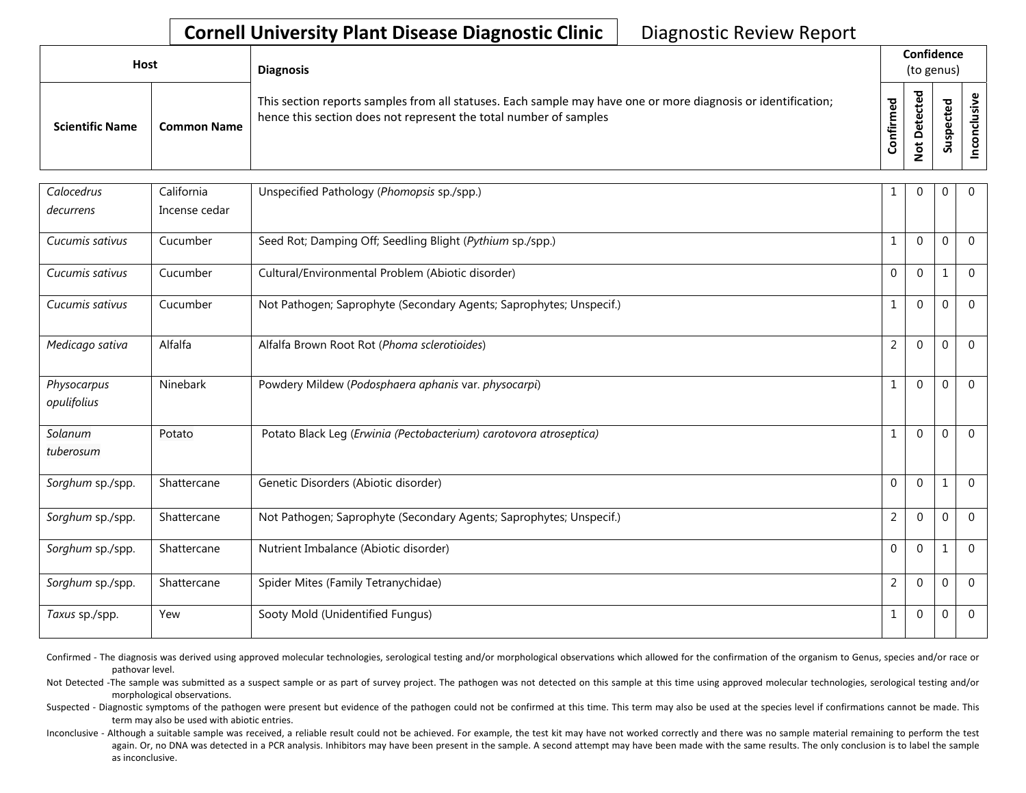## **Cornell University Plant Disease Diagnostic Clinic** | Diagnostic Review Report

| Host                   |                    | <b>Diagnosis</b>                                                                                                                                                                   |                    | Confidence<br>(to genus) |                                       |                |
|------------------------|--------------------|------------------------------------------------------------------------------------------------------------------------------------------------------------------------------------|--------------------|--------------------------|---------------------------------------|----------------|
| <b>Scientific Name</b> | <b>Common Name</b> | This section reports samples from all statuses. Each sample may have one or more diagnosis or identification;<br>hence this section does not represent the total number of samples | ਠ<br>Φ<br>ε<br>tir | ᇃ                        | ъ<br>ഉ<br>ں<br>௨<br>š<br>$\mathbf{v}$ | 2.<br><u>ی</u> |

| Calocedrus                 | California<br>Incense cedar | Unspecified Pathology (Phomopsis sp./spp.)                          | 1              | $\mathbf 0$    | 0            | $\mathbf 0$ |
|----------------------------|-----------------------------|---------------------------------------------------------------------|----------------|----------------|--------------|-------------|
| decurrens                  |                             |                                                                     |                |                |              |             |
| Cucumis sativus            | Cucumber                    | Seed Rot; Damping Off; Seedling Blight (Pythium sp./spp.)           | $\mathbf{1}$   | $\mathbf 0$    | $\mathbf{0}$ | $\mathbf 0$ |
| Cucumis sativus            | Cucumber                    | Cultural/Environmental Problem (Abiotic disorder)                   | $\mathbf 0$    | $\mathbf 0$    | 1            | $\mathbf 0$ |
| Cucumis sativus            | Cucumber                    | Not Pathogen; Saprophyte (Secondary Agents; Saprophytes; Unspecif.) | 1              | $\overline{0}$ | $\mathbf{0}$ | $\Omega$    |
| Medicago sativa            | Alfalfa                     | Alfalfa Brown Root Rot (Phoma sclerotioides)                        | $\overline{2}$ | $\mathbf 0$    | $\mathbf 0$  | $\mathbf 0$ |
| Physocarpus<br>opulifolius | Ninebark                    | Powdery Mildew (Podosphaera aphanis var. physocarpi)                | 1              | $\Omega$       | $\mathbf{0}$ | $\Omega$    |
| Solanum<br>tuberosum       | Potato                      | Potato Black Leg (Erwinia (Pectobacterium) carotovora atroseptica)  | 1              | $\mathbf 0$    | 0            | $\Omega$    |
| Sorghum sp./spp.           | Shattercane                 | Genetic Disorders (Abiotic disorder)                                | $\mathbf 0$    | $\mathbf 0$    | 1            | $\mathbf 0$ |
| Sorghum sp./spp.           | Shattercane                 | Not Pathogen; Saprophyte (Secondary Agents; Saprophytes; Unspecif.) | $\overline{2}$ | $\mathbf 0$    | 0            | $\Omega$    |
| Sorghum sp./spp.           | Shattercane                 | Nutrient Imbalance (Abiotic disorder)                               | $\overline{0}$ | $\mathbf 0$    | 1            | $\mathbf 0$ |
| Sorghum sp./spp.           | Shattercane                 | Spider Mites (Family Tetranychidae)                                 | $\overline{2}$ | $\mathbf 0$    | 0            | $\mathbf 0$ |
| Taxus sp./spp.             | Yew                         | Sooty Mold (Unidentified Fungus)                                    | 1              | $\mathbf 0$    | $\mathbf{0}$ | $\mathbf 0$ |

Confirmed - The diagnosis was derived using approved molecular technologies, serological testing and/or morphological observations which allowed for the confirmation of the organism to Genus, species and/or race or pathovar level.

Not Detected -The sample was submitted as a suspect sample or as part of survey project. The pathogen was not detected on this sample at this time using approved molecular technologies, serological testing and/or morphological observations.

Suspected - Diagnostic symptoms of the pathogen were present but evidence of the pathogen could not be confirmed at this time. This term may also be used at the species level if confirmations cannot be made. This term may also be used with abiotic entries.

Inconclusive - Although a suitable sample was received, a reliable result could not be achieved. For example, the test kit may have not worked correctly and there was no sample material remaining to perform the test again. Or, no DNA was detected in a PCR analysis. Inhibitors may have been present in the sample. A second attempt may have been made with the same results. The only conclusion is to label the sample as inconclusive.